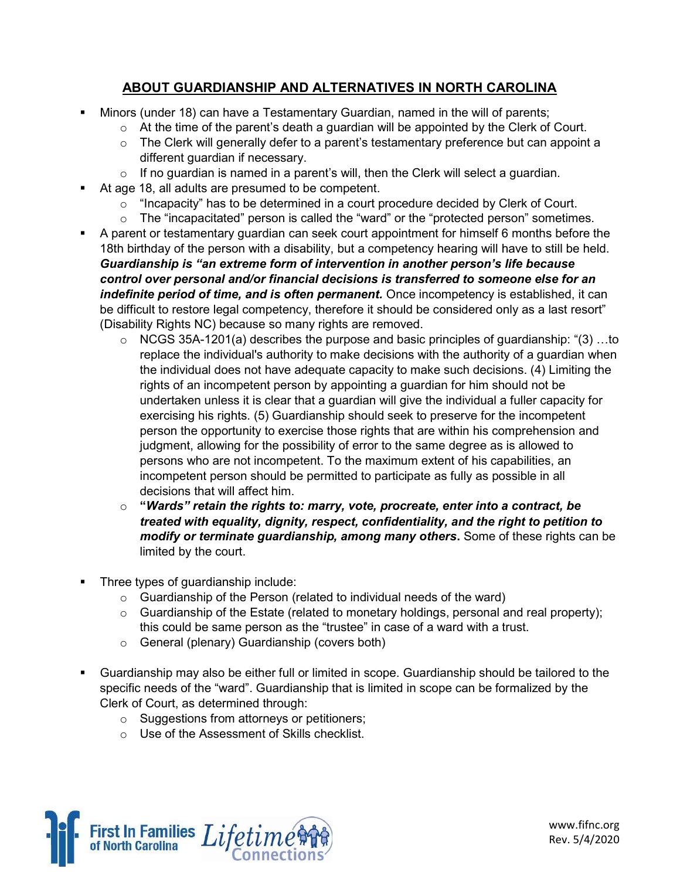## ABOUT GUARDIANSHIP AND ALTERNATIVES IN NORTH CAROLINA

- Minors (under 18) can have a Testamentary Guardian, named in the will of parents;
	- o At the time of the parent's death a guardian will be appointed by the Clerk of Court.
	- $\circ$  The Clerk will generally defer to a parent's testamentary preference but can appoint a different guardian if necessary.
	- $\circ$  If no guardian is named in a parent's will, then the Clerk will select a guardian.
- At age 18, all adults are presumed to be competent.
	- $\circ$  "Incapacity" has to be determined in a court procedure decided by Clerk of Court.
	- $\circ$  The "incapacitated" person is called the "ward" or the "protected person" sometimes.
- A parent or testamentary guardian can seek court appointment for himself 6 months before the 18th birthday of the person with a disability, but a competency hearing will have to still be held. Guardianship is "an extreme form of intervention in another person's life because control over personal and/or financial decisions is transferred to someone else for an indefinite period of time, and is often permanent. Once incompetency is established, it can be difficult to restore legal competency, therefore it should be considered only as a last resort" (Disability Rights NC) because so many rights are removed.
	- $\circ$  NCGS 35A-1201(a) describes the purpose and basic principles of quardianship: "(3) ...to replace the individual's authority to make decisions with the authority of a guardian when the individual does not have adequate capacity to make such decisions. (4) Limiting the rights of an incompetent person by appointing a guardian for him should not be undertaken unless it is clear that a guardian will give the individual a fuller capacity for exercising his rights. (5) Guardianship should seek to preserve for the incompetent person the opportunity to exercise those rights that are within his comprehension and judgment, allowing for the possibility of error to the same degree as is allowed to persons who are not incompetent. To the maximum extent of his capabilities, an incompetent person should be permitted to participate as fully as possible in all decisions that will affect him.
	- $\circ$  "Wards" retain the rights to: marry, vote, procreate, enter into a contract, be treated with equality, dignity, respect, confidentiality, and the right to petition to modify or terminate guardianship, among many others. Some of these rights can be limited by the court.
- Three types of guardianship include:
	- $\circ$  Guardianship of the Person (related to individual needs of the ward)
	- $\circ$  Guardianship of the Estate (related to monetary holdings, personal and real property); this could be same person as the "trustee" in case of a ward with a trust.
	- o General (plenary) Guardianship (covers both)
- Guardianship may also be either full or limited in scope. Guardianship should be tailored to the specific needs of the "ward". Guardianship that is limited in scope can be formalized by the Clerk of Court, as determined through:
	- o Suggestions from attorneys or petitioners;
	- o Use of the Assessment of Skills checklist.



www.fifnc.org Rev. 5/4/2020